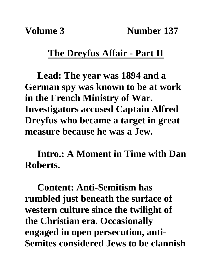## **The Dreyfus Affair - Part II**

**Lead: The year was 1894 and a German spy was known to be at work in the French Ministry of War. Investigators accused Captain Alfred Dreyfus who became a target in great measure because he was a Jew.**

**Intro.: A Moment in Time with Dan Roberts.**

**Content: Anti-Semitism has rumbled just beneath the surface of western culture since the twilight of the Christian era. Occasionally engaged in open persecution, anti-Semites considered Jews to be clannish**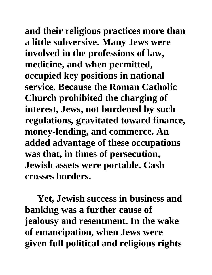**and their religious practices more than a little subversive. Many Jews were involved in the professions of law, medicine, and when permitted, occupied key positions in national service. Because the Roman Catholic Church prohibited the charging of interest, Jews, not burdened by such regulations, gravitated toward finance, money-lending, and commerce. An added advantage of these occupations was that, in times of persecution, Jewish assets were portable. Cash crosses borders.** 

**Yet, Jewish success in business and banking was a further cause of jealousy and resentment. In the wake of emancipation, when Jews were given full political and religious rights**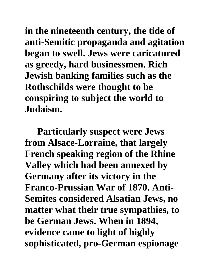**in the nineteenth century, the tide of anti-Semitic propaganda and agitation began to swell. Jews were caricatured as greedy, hard businessmen. Rich Jewish banking families such as the Rothschilds were thought to be conspiring to subject the world to Judaism.**

**Particularly suspect were Jews from Alsace-Lorraine, that largely French speaking region of the Rhine Valley which had been annexed by Germany after its victory in the Franco-Prussian War of 1870. Anti-Semites considered Alsatian Jews, no matter what their true sympathies, to be German Jews. When in 1894, evidence came to light of highly sophisticated, pro-German espionage**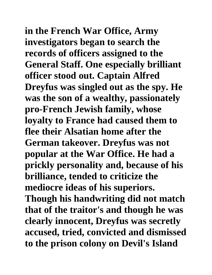**in the French War Office, Army investigators began to search the records of officers assigned to the General Staff. One especially brilliant officer stood out. Captain Alfred Dreyfus was singled out as the spy. He was the son of a wealthy, passionately pro-French Jewish family, whose loyalty to France had caused them to flee their Alsatian home after the German takeover. Dreyfus was not popular at the War Office. He had a prickly personality and, because of his brilliance, tended to criticize the mediocre ideas of his superiors. Though his handwriting did not match that of the traitor's and though he was clearly innocent, Dreyfus was secretly accused, tried, convicted and dismissed to the prison colony on Devil's Island**